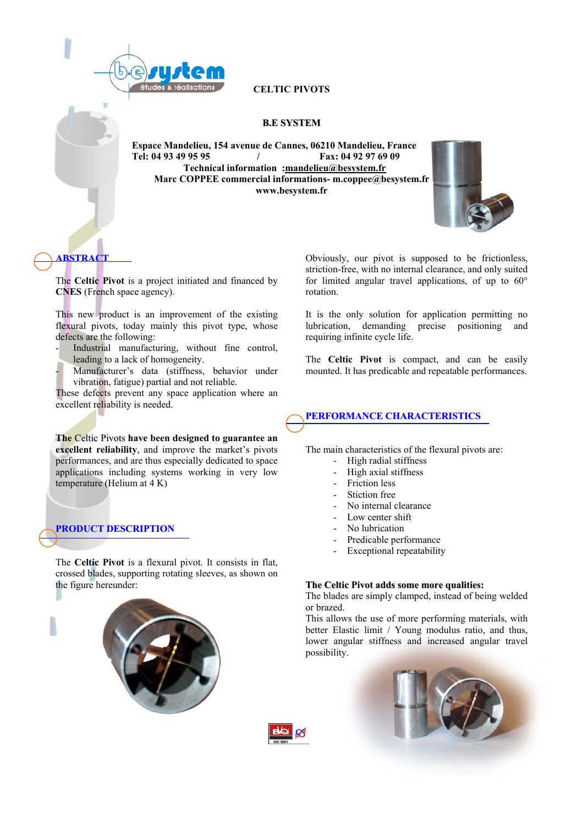

**CELTIC PIVOTS** 

### **B.E SYSTEM**

**Espace Mandelieu, 154 avenue de Cannes, 06210 Mandelieu, France Tel: 04 93 49 95 95 / Fax: 04 92 97 69 09 Technical information :[mandelieu@besystem.fr](mailto:mandelieu@besystem.fr) Marc COPPEE commercial informations- m.coppee@besystem.fr www.besystem.fr** 



# **ABSTRACT**

The **Celtic Pivot** is a project initiated and financed by **CNES** (French space agency).

This new product is an improvement of the existing flexural pivots, today mainly this pivot type, whose defects are the following:

- Industrial manufacturing, without fine control, leading to a lack of homogeneity.
- Manufacturer's data (stiffness, behavior under vibration, fatigue) partial and not reliable.

These defects prevent any space application where an excellent reliability is needed.

**The** Celtic Pivots **have been designed to guarantee an excellent reliability**, and improve the market's pivots performances, and are thus especially dedicated to space applications including systems working in very low temperature (Helium at 4 K)

## **PRODUCT DESCRIPTION**

The **Celtic Pivot** is a flexural pivot. It consists in flat, crossed blades, supporting rotating sleeves, as shown on the figure hereunder:



Obviously, our pivot is supposed to be frictionless, striction-free, with no internal clearance, and only suited for limited angular travel applications, of up to  $60^{\circ}$ rotation.

It is the only solution for application permitting no lubrication, demanding precise positioning and requiring infinite cycle life.

The **Celtic Pivot** is compact, and can be easily mounted. It has predicable and repeatable performances.

## **PERFORMANCE CHARACTERISTICS**

The main characteristics of the flexural pivots are:

- High radial stiffness
- High axial stiffness
- Friction less
- Stiction free
- No internal clearance
- Low center shift
- No lubrication
- Predicable performance
- Exceptional repeatability

#### **The Celtic Pivot adds some more qualities:**

The blades are simply clamped, instead of being welded or brazed.

This allows the use of more performing materials, with better Elastic limit / Young modulus ratio, and thus, lower angular stiffness and increased angular travel possibility.



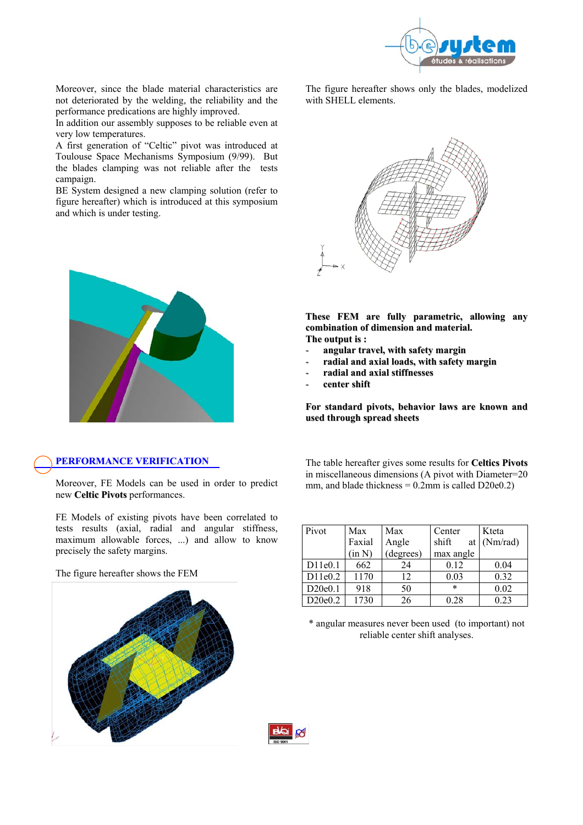

Moreover, since the blade material characteristics are not deteriorated by the welding, the reliability and the performance predications are highly improved.

In addition our assembly supposes to be reliable even at very low temperatures.

A first generation of "Celtic" pivot was introduced at Toulouse Space Mechanisms Symposium (9/99). But the blades clamping was not reliable after the tests campaign.

BE System designed a new clamping solution (refer to figure hereafter) which is introduced at this symposium and which is under testing.



## **PERFORMANCE VERIFICATION**

Moreover, FE Models can be used in order to predict new **Celtic Pivots** performances.

FE Models of existing pivots have been correlated to tests results (axial, radial and angular stiffness, maximum allowable forces, ...) and allow to know precisely the safety margins.

The figure hereafter shows the FEM



The figure hereafter shows only the blades, modelized with SHELL elements.



**These FEM are fully parametric, allowing any combination of dimension and material. The output is :**

- 
- **angular travel, with safety margin** - **radial and axial loads, with safety margin**
- 
- **radial and axial stiffnesses**
- **center shift**

**For standard pivots, behavior laws are known and used through spread sheets**

The table hereafter gives some results for **Celtics Pivots** in miscellaneous dimensions (A pivot with Diameter=20 mm, and blade thickness  $= 0.2$ mm is called D20e0.2)

| Pivot   | Max    | Max       | Center      | Kteta    |
|---------|--------|-----------|-------------|----------|
|         | Faxial | Angle     | shift<br>at | (Nm/rad) |
|         | (in N) | (degrees) | max angle   |          |
| D11e0.1 | 662    | 24        | 0.12        | 0.04     |
| D11e0.2 | 1170   | 12        | 0.03        | 0.32     |
| D20e0.1 | 918    | 50        | $\ast$      | 0.02     |
| D20e0.2 | 1730   | 26        | 0.28        | 0.23     |

\* angular measures never been used (to important) not reliable center shift analyses.